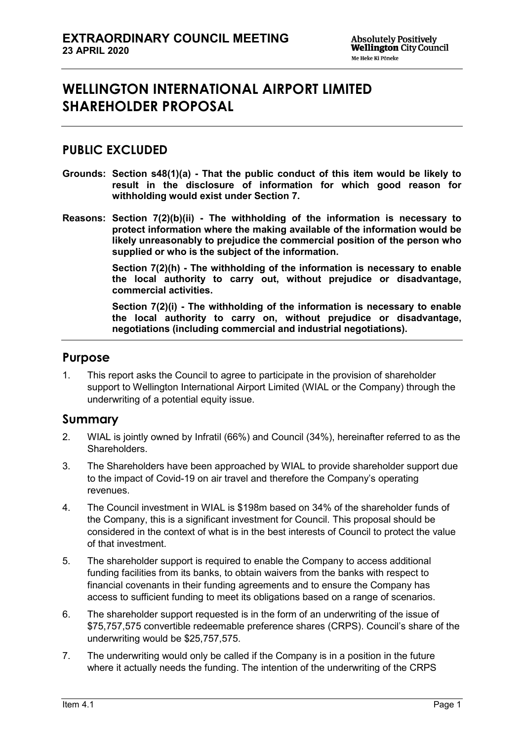# **WELLINGTON INTERNATIONAL AIRPORT LIMITED SHAREHOLDER PROPOSAL**

### **PUBLIC EXCLUDED**

- **Grounds: Section s48(1)(a) - That the public conduct of this item would be likely to result in the disclosure of information for which good reason for withholding would exist under Section 7.**
- **Reasons: Section 7(2)(b)(ii) - The withholding of the information is necessary to protect information where the making available of the information would be likely unreasonably to prejudice the commercial position of the person who supplied or who is the subject of the information.**

**Section 7(2)(h) - The withholding of the information is necessary to enable the local authority to carry out, without prejudice or disadvantage, commercial activities.**

**Section 7(2)(i) - The withholding of the information is necessary to enable the local authority to carry on, without prejudice or disadvantage, negotiations (including commercial and industrial negotiations).**

#### **Purpose**

1. This report asks the Council to agree to participate in the provision of shareholder support to Wellington International Airport Limited (WIAL or the Company) through the underwriting of a potential equity issue.

#### **Summary**

- 2. WIAL is jointly owned by Infratil (66%) and Council (34%), hereinafter referred to as the Shareholders.
- 3. The Shareholders have been approached by WIAL to provide shareholder support due to the impact of Covid-19 on air travel and therefore the Company's operating revenues.
- 4. The Council investment in WIAL is \$198m based on 34% of the shareholder funds of the Company, this is a significant investment for Council. This proposal should be considered in the context of what is in the best interests of Council to protect the value of that investment.
- 5. The shareholder support is required to enable the Company to access additional funding facilities from its banks, to obtain waivers from the banks with respect to financial covenants in their funding agreements and to ensure the Company has access to sufficient funding to meet its obligations based on a range of scenarios.
- 6. The shareholder support requested is in the form of an underwriting of the issue of \$75,757,575 convertible redeemable preference shares (CRPS). Council's share of the underwriting would be \$25,757,575.
- 7. The underwriting would only be called if the Company is in a position in the future where it actually needs the funding. The intention of the underwriting of the CRPS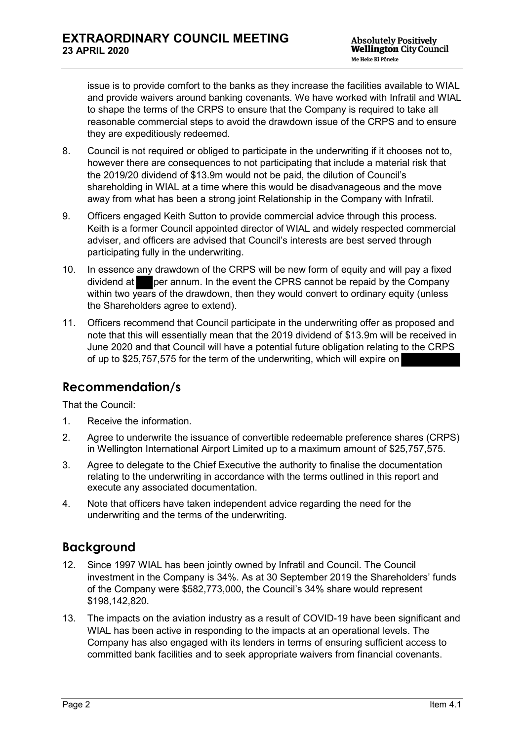issue is to provide comfort to the banks as they increase the facilities available to WIAL and provide waivers around banking covenants. We have worked with Infratil and WIAL to shape the terms of the CRPS to ensure that the Company is required to take all reasonable commercial steps to avoid the drawdown issue of the CRPS and to ensure they are expeditiously redeemed.

- 8. Council is not required or obliged to participate in the underwriting if it chooses not to, however there are consequences to not participating that include a material risk that the 2019/20 dividend of \$13.9m would not be paid, the dilution of Council's shareholding in WIAL at a time where this would be disadvanageous and the move away from what has been a strong joint Relationship in the Company with Infratil.
- 9. Officers engaged Keith Sutton to provide commercial advice through this process. Keith is a former Council appointed director of WIAL and widely respected commercial adviser, and officers are advised that Council's interests are best served through participating fully in the underwriting.
- 10. In essence any drawdown of the CRPS will be new form of equity and will pay a fixed dividend at per annum. In the event the CPRS cannot be repaid by the Company within two years of the drawdown, then they would convert to ordinary equity (unless the Shareholders agree to extend).
- 11. Officers recommend that Council participate in the underwriting offer as proposed and note that this will essentially mean that the 2019 dividend of \$13.9m will be received in June 2020 and that Council will have a potential future obligation relating to the CRPS of up to \$25,757,575 for the term of the underwriting, which will expire on

# **Recommendation/s**

That the Council:

- 1. Receive the information.
- 2. Agree to underwrite the issuance of convertible redeemable preference shares (CRPS) in Wellington International Airport Limited up to a maximum amount of \$25,757,575.
- 3. Agree to delegate to the Chief Executive the authority to finalise the documentation relating to the underwriting in accordance with the terms outlined in this report and execute any associated documentation.
- 4. Note that officers have taken independent advice regarding the need for the underwriting and the terms of the underwriting.

# **Background**

- 12. Since 1997 WIAL has been jointly owned by Infratil and Council. The Council investment in the Company is 34%. As at 30 September 2019 the Shareholders' funds of the Company were \$582,773,000, the Council's 34% share would represent \$198,142,820.
- 13. The impacts on the aviation industry as a result of COVID-19 have been significant and WIAL has been active in responding to the impacts at an operational levels. The Company has also engaged with its lenders in terms of ensuring sufficient access to committed bank facilities and to seek appropriate waivers from financial covenants.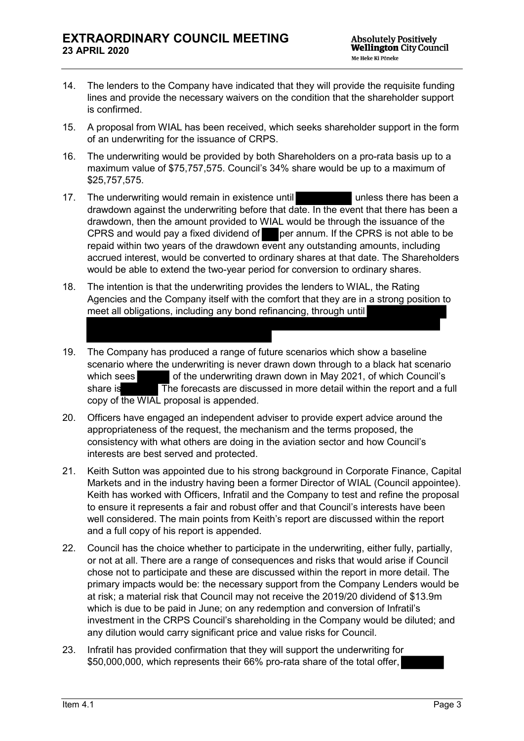- 14. The lenders to the Company have indicated that they will provide the requisite funding lines and provide the necessary waivers on the condition that the shareholder support is confirmed.
- 15. A proposal from WIAL has been received, which seeks shareholder support in the form of an underwriting for the issuance of CRPS.
- 16. The underwriting would be provided by both Shareholders on a pro-rata basis up to a maximum value of \$75,757,575. Council's 34% share would be up to a maximum of \$25,757,575.
- 17. The underwriting would remain in existence until **the same of the unless there has been a** drawdown against the underwriting before that date. In the event that there has been a drawdown, then the amount provided to WIAL would be through the issuance of the CPRS and would pay a fixed dividend of per annum. If the CPRS is not able to be repaid within two years of the drawdown event any outstanding amounts, including accrued interest, would be converted to ordinary shares at that date. The Shareholders would be able to extend the two-year period for conversion to ordinary shares.
- 18. The intention is that the underwriting provides the lenders to WIAL, the Rating Agencies and the Company itself with the comfort that they are in a strong position to meet all obligations, including any bond refinancing, through until
- 19. The Company has produced a range of future scenarios which show a baseline scenario where the underwriting is never drawn down through to a black hat scenario which sees of the underwriting drawn down in May 2021, of which Council's share is **The forecasts are discussed in more detail within the report and a full** copy of the WIAL proposal is appended.
- 20. Officers have engaged an independent adviser to provide expert advice around the appropriateness of the request, the mechanism and the terms proposed, the consistency with what others are doing in the aviation sector and how Council's interests are best served and protected.
- 21. Keith Sutton was appointed due to his strong background in Corporate Finance, Capital Markets and in the industry having been a former Director of WIAL (Council appointee). Keith has worked with Officers, Infratil and the Company to test and refine the proposal to ensure it represents a fair and robust offer and that Council's interests have been well considered. The main points from Keith's report are discussed within the report and a full copy of his report is appended.
- 22. Council has the choice whether to participate in the underwriting, either fully, partially, or not at all. There are a range of consequences and risks that would arise if Council chose not to participate and these are discussed within the report in more detail. The primary impacts would be: the necessary support from the Company Lenders would be at risk; a material risk that Council may not receive the 2019/20 dividend of \$13.9m which is due to be paid in June; on any redemption and conversion of Infratil's investment in the CRPS Council's shareholding in the Company would be diluted; and any dilution would carry significant price and value risks for Council.
- 23. Infratil has provided confirmation that they will support the underwriting for \$50,000,000, which represents their 66% pro-rata share of the total offer,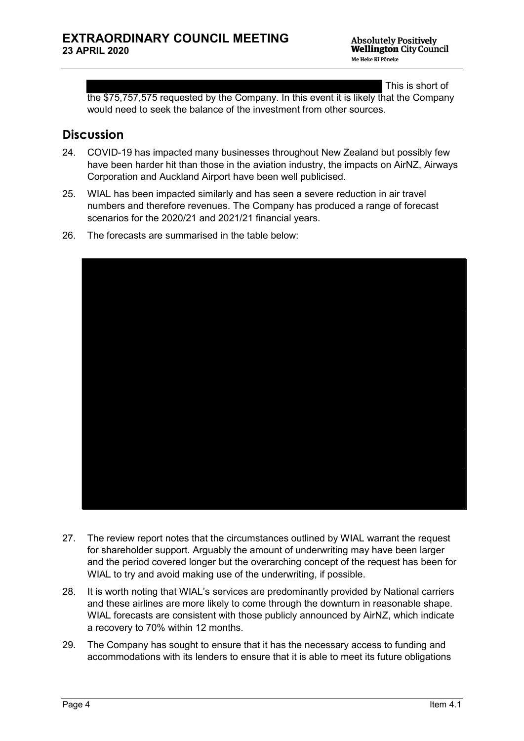This is short of

the \$75,757,575 requested by the Company. In this event it is likely that the Company would need to seek the balance of the investment from other sources.

#### **Discussion**

- 24. COVID-19 has impacted many businesses throughout New Zealand but possibly few have been harder hit than those in the aviation industry, the impacts on AirNZ, Airways Corporation and Auckland Airport have been well publicised.
- 25. WIAL has been impacted similarly and has seen a severe reduction in air travel numbers and therefore revenues. The Company has produced a range of forecast scenarios for the 2020/21 and 2021/21 financial years.
- 26. The forecasts are summarised in the table below:



- 27. The review report notes that the circumstances outlined by WIAL warrant the request for shareholder support. Arguably the amount of underwriting may have been larger and the period covered longer but the overarching concept of the request has been for WIAL to try and avoid making use of the underwriting, if possible.
- 28. It is worth noting that WIAL's services are predominantly provided by National carriers and these airlines are more likely to come through the downturn in reasonable shape. WIAL forecasts are consistent with those publicly announced by AirNZ, which indicate a recovery to 70% within 12 months.
- 29. The Company has sought to ensure that it has the necessary access to funding and accommodations with its lenders to ensure that it is able to meet its future obligations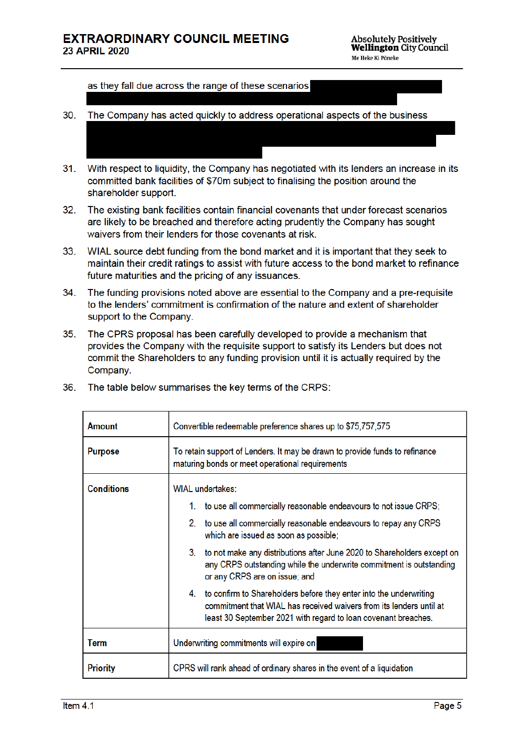as they fall due across the range of these scenarios

- 30. The Company has acted quickly to address operational aspects of the business
- With respect to liquidity, the Company has negotiated with its lenders an increase in its  $31.$ committed bank facilities of \$70m subject to finalising the position around the shareholder support.
- $32.$ The existing bank facilities contain financial covenants that under forecast scenarios are likely to be breached and therefore acting prudently the Company has sought waivers from their lenders for those covenants at risk.
- $33.$ WIAL source debt funding from the bond market and it is important that they seek to maintain their credit ratings to assist with future access to the bond market to refinance future maturities and the pricing of any issuances.
- $34.$ The funding provisions noted above are essential to the Company and a pre-requisite to the lenders' commitment is confirmation of the nature and extent of shareholder support to the Company.
- $35.$ The CPRS proposal has been carefully developed to provide a mechanism that provides the Company with the requisite support to satisfy its Lenders but does not commit the Shareholders to any funding provision until it is actually required by the Company.

| Amount            | Convertible redeemable preference shares up to \$75,757,575                                                                                                                                                    |  |
|-------------------|----------------------------------------------------------------------------------------------------------------------------------------------------------------------------------------------------------------|--|
| <b>Purpose</b>    | To retain support of Lenders. It may be drawn to provide funds to refinance<br>maturing bonds or meet operational requirements                                                                                 |  |
| <b>Conditions</b> | <b>WIAL</b> undertakes:                                                                                                                                                                                        |  |
|                   | to use all commercially reasonable endeavours to not issue CRPS;<br>1.                                                                                                                                         |  |
|                   | 2.<br>to use all commercially reasonable endeavours to repay any CRPS<br>which are issued as soon as possible;                                                                                                 |  |
|                   | 3. to not make any distributions after June 2020 to Shareholders except on<br>any CRPS outstanding while the underwrite commitment is outstanding<br>or any CRPS are on issue; and                             |  |
|                   | 4. to confirm to Shareholders before they enter into the underwriting<br>commitment that WIAL has received waivers from its lenders until at<br>least 30 September 2021 with regard to loan covenant breaches. |  |
| Term              | Underwriting commitments will expire on                                                                                                                                                                        |  |
| <b>Priority</b>   | CPRS will rank ahead of ordinary shares in the event of a liquidation                                                                                                                                          |  |

36. The table below summarises the key terms of the CRPS: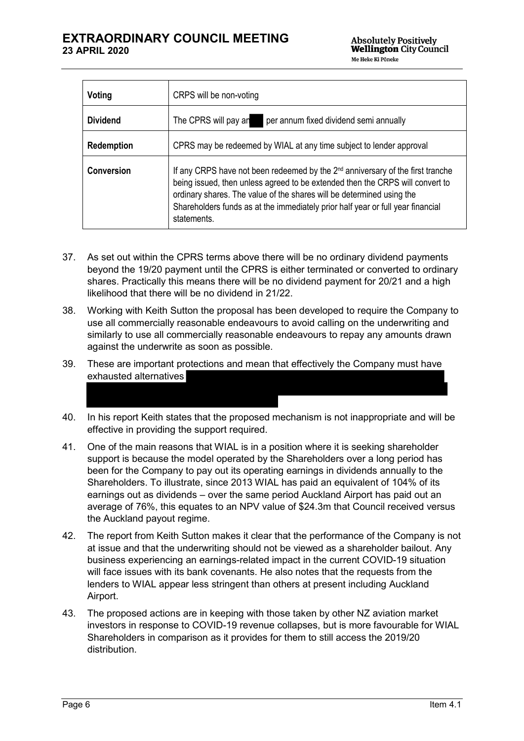| Voting          | CRPS will be non-voting                                                                                                                                                                                                                                                                                                                                |
|-----------------|--------------------------------------------------------------------------------------------------------------------------------------------------------------------------------------------------------------------------------------------------------------------------------------------------------------------------------------------------------|
| <b>Dividend</b> | per annum fixed dividend semi annually<br>The CPRS will pay an                                                                                                                                                                                                                                                                                         |
| Redemption      | CPRS may be redeemed by WIAL at any time subject to lender approval                                                                                                                                                                                                                                                                                    |
| Conversion      | If any CRPS have not been redeemed by the 2 <sup>nd</sup> anniversary of the first tranche<br>being issued, then unless agreed to be extended then the CRPS will convert to<br>ordinary shares. The value of the shares will be determined using the<br>Shareholders funds as at the immediately prior half year or full year financial<br>statements. |

- 37. As set out within the CPRS terms above there will be no ordinary dividend payments beyond the 19/20 payment until the CPRS is either terminated or converted to ordinary shares. Practically this means there will be no dividend payment for 20/21 and a high likelihood that there will be no dividend in 21/22.
- 38. Working with Keith Sutton the proposal has been developed to require the Company to use all commercially reasonable endeavours to avoid calling on the underwriting and similarly to use all commercially reasonable endeavours to repay any amounts drawn against the underwrite as soon as possible.
- 39. These are important protections and mean that effectively the Company must have exhausted alternatives
- 40. In his report Keith states that the proposed mechanism is not inappropriate and will be effective in providing the support required.
- 41. One of the main reasons that WIAL is in a position where it is seeking shareholder support is because the model operated by the Shareholders over a long period has been for the Company to pay out its operating earnings in dividends annually to the Shareholders. To illustrate, since 2013 WIAL has paid an equivalent of 104% of its earnings out as dividends – over the same period Auckland Airport has paid out an average of 76%, this equates to an NPV value of \$24.3m that Council received versus the Auckland payout regime.
- 42. The report from Keith Sutton makes it clear that the performance of the Company is not at issue and that the underwriting should not be viewed as a shareholder bailout. Any business experiencing an earnings-related impact in the current COVID-19 situation will face issues with its bank covenants. He also notes that the requests from the lenders to WIAL appear less stringent than others at present including Auckland Airport.
- 43. The proposed actions are in keeping with those taken by other NZ aviation market investors in response to COVID-19 revenue collapses, but is more favourable for WIAL Shareholders in comparison as it provides for them to still access the 2019/20 distribution.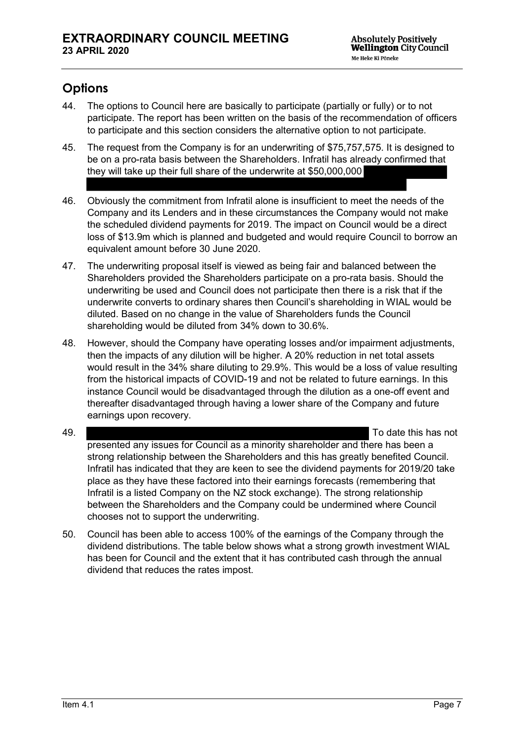# **Options**

- 44. The options to Council here are basically to participate (partially or fully) or to not participate. The report has been written on the basis of the recommendation of officers to participate and this section considers the alternative option to not participate.
- 45. The request from the Company is for an underwriting of \$75,757,575. It is designed to be on a pro-rata basis between the Shareholders. Infratil has already confirmed that they will take up their full share of the underwrite at \$50,000,000
- 46. Obviously the commitment from Infratil alone is insufficient to meet the needs of the Company and its Lenders and in these circumstances the Company would not make the scheduled dividend payments for 2019. The impact on Council would be a direct loss of \$13.9m which is planned and budgeted and would require Council to borrow an equivalent amount before 30 June 2020.
- 47. The underwriting proposal itself is viewed as being fair and balanced between the Shareholders provided the Shareholders participate on a pro-rata basis. Should the underwriting be used and Council does not participate then there is a risk that if the underwrite converts to ordinary shares then Council's shareholding in WIAL would be diluted. Based on no change in the value of Shareholders funds the Council shareholding would be diluted from 34% down to 30.6%.
- 48. However, should the Company have operating losses and/or impairment adjustments, then the impacts of any dilution will be higher. A 20% reduction in net total assets would result in the 34% share diluting to 29.9%. This would be a loss of value resulting from the historical impacts of COVID-19 and not be related to future earnings. In this instance Council would be disadvantaged through the dilution as a one-off event and thereafter disadvantaged through having a lower share of the Company and future earnings upon recovery.
- 49. To date this has not presented any issues for Council as a minority shareholder and there has been a strong relationship between the Shareholders and this has greatly benefited Council. Infratil has indicated that they are keen to see the dividend payments for 2019/20 take place as they have these factored into their earnings forecasts (remembering that Infratil is a listed Company on the NZ stock exchange). The strong relationship between the Shareholders and the Company could be undermined where Council chooses not to support the underwriting.
- 50. Council has been able to access 100% of the earnings of the Company through the dividend distributions. The table below shows what a strong growth investment WIAL has been for Council and the extent that it has contributed cash through the annual dividend that reduces the rates impost.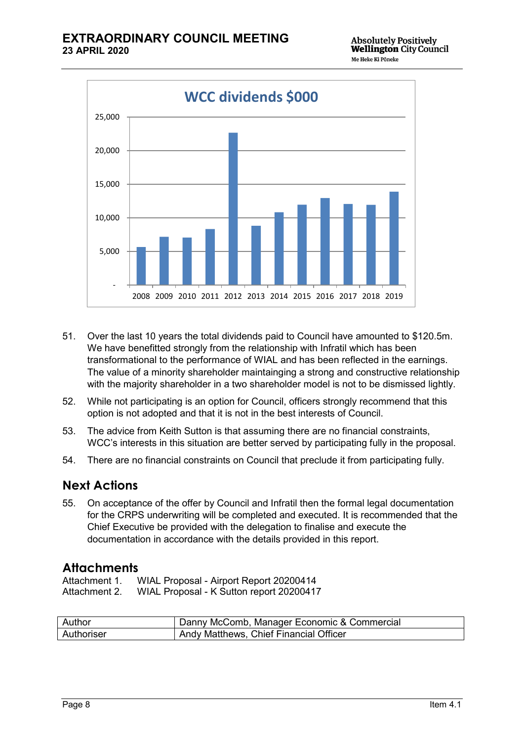

- 51. Over the last 10 years the total dividends paid to Council have amounted to \$120.5m. We have benefitted strongly from the relationship with Infratil which has been transformational to the performance of WIAL and has been reflected in the earnings. The value of a minority shareholder maintainging a strong and constructive relationship with the majority shareholder in a two shareholder model is not to be dismissed lightly.
- 52. While not participating is an option for Council, officers strongly recommend that this option is not adopted and that it is not in the best interests of Council.
- 53. The advice from Keith Sutton is that assuming there are no financial constraints, WCC's interests in this situation are better served by participating fully in the proposal.
- 54. There are no financial constraints on Council that preclude it from participating fully.

# **Next Actions**

55. On acceptance of the offer by Council and Infratil then the formal legal documentation for the CRPS underwriting will be completed and executed. It is recommended that the Chief Executive be provided with the delegation to finalise and execute the documentation in accordance with the details provided in this report.

#### **Attachments**

Attachment 1. WIAL Proposal - Airport Report 20200414 Attachment 2. WIAL Proposal - K Sutton report 20200417

| Author     | Danny McComb, Manager Economic & Commercial |
|------------|---------------------------------------------|
| Authoriser | Andy Matthews, Chief Financial Officer      |